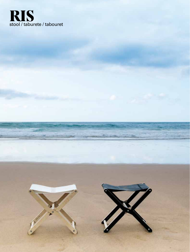